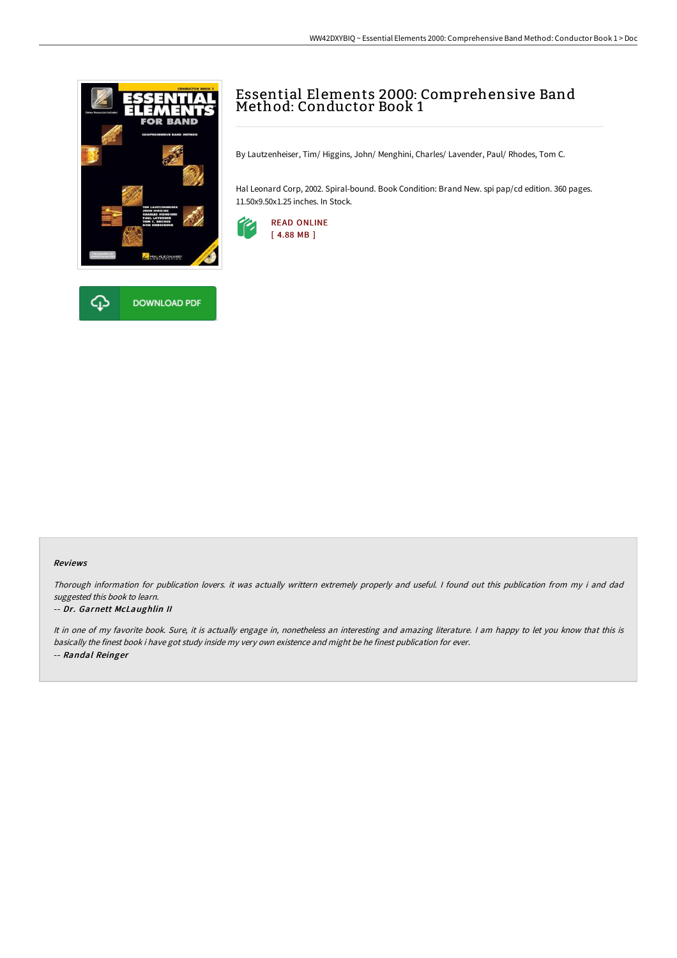



# Essential Elements 2000: Comprehensive Band Method: Conductor Book 1

By Lautzenheiser, Tim/ Higgins, John/ Menghini, Charles/ Lavender, Paul/ Rhodes, Tom C.

Hal Leonard Corp, 2002. Spiral-bound. Book Condition: Brand New. spi pap/cd edition. 360 pages. 11.50x9.50x1.25 inches. In Stock.



#### Reviews

Thorough information for publication lovers. it was actually writtern extremely properly and useful. <sup>I</sup> found out this publication from my i and dad suggested this book to learn.

#### -- Dr. Garnett McLaughlin II

It in one of my favorite book. Sure, it is actually engage in, nonetheless an interesting and amazing literature. <sup>I</sup> am happy to let you know that this is basically the finest book i have got study inside my very own existence and might be he finest publication for ever. -- Randal Reinger